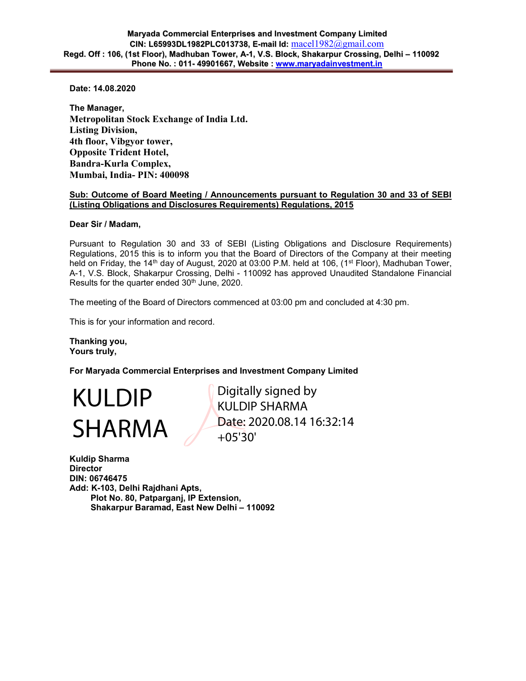Date: 14.08.2020

The Manager, Metropolitan Stock Exchange of India Ltd. Listing Division, 4th floor, Vibgyor tower, Opposite Trident Hotel, Bandra-Kurla Complex, Mumbai, India- PIN: 400098

## Sub: Outcome of Board Meeting / Announcements pursuant to Regulation 30 and 33 of SEBI (Listing Obligations and Disclosures Requirements) Regulations, 2015

Dear Sir / Madam,

Pursuant to Regulation 30 and 33 of SEBI (Listing Obligations and Disclosure Requirements) Regulations, 2015 this is to inform you that the Board of Directors of the Company at their meeting held on Friday, the 14<sup>th</sup> day of August, 2020 at 03:00 P.M. held at 106, (1<sup>st</sup> Floor), Madhuban Tower, A-1, V.S. Block, Shakarpur Crossing, Delhi - 110092 has approved Unaudited Standalone Financial Results for the quarter ended 30<sup>th</sup> June, 2020.

The meeting of the Board of Directors commenced at 03:00 pm and concluded at 4:30 pm.

This is for your information and record.

Thanking you, Yours truly,

For Maryada Commercial Enterprises and Investment Company Limited

KULDIP SHARMA Digitally signed by KULDIP SHARMA Date: 2020.08.14 16:32:14 +05'30'

Kuldip Sharma **Director** DIN: 06746475 Add: K-103, Delhi Rajdhani Apts, Plot No. 80, Patparganj, IP Extension, Shakarpur Baramad, East New Delhi – 110092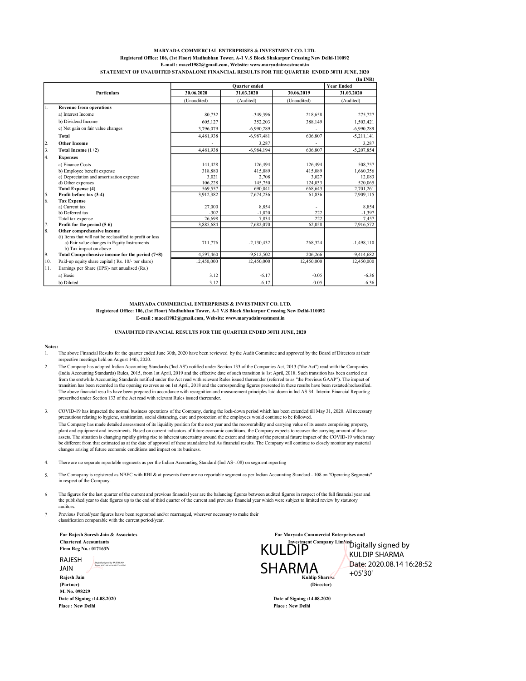### (In INR) MARYADA COMMERCIAL ENTERPRISES & INVESTMENT CO. LTD. Registered Office: 106, (1st Floor) Madhubhan Tower, A-1 V.S Block Shakarpur Crossing New Delhi-110092 E-mail : macel1982@gmail.com, Website: www.maryadainvestment.in STATEMENT OF UNAUDITED STANDALONE FINANCIAL RESULTS FOR THE QUARTER ENDED 30TH JUNE, 2020

|     |                                                           | <b>Quarter</b> ended |              |             | <b>Year Ended</b> |
|-----|-----------------------------------------------------------|----------------------|--------------|-------------|-------------------|
|     | <b>Particulars</b>                                        | 30.06.2020           | 31.03.2020   | 30.06.2019  | 31.03.2020        |
|     |                                                           | (Unaudited)          | (Audited)    | (Unaudited) | (Audited)         |
| 1.  | <b>Revenue from operations</b>                            |                      |              |             |                   |
|     | a) Interest Income                                        | 80,732               | $-349,396$   | 218,658     | 275,727           |
|     | b) Dividend Income                                        | 605,127              | 352,203      | 388,149     | 1,503,421         |
|     | c) Net gain on fair value changes                         | 3,796,079            | $-6,990,289$ |             | $-6,990,289$      |
|     | Total                                                     | 4,481,938            | $-6,987,481$ | 606,807     | $-5,211,141$      |
| 2.  | <b>Other Income</b>                                       |                      | 3.287        |             | 3.287             |
| 3.  | Total Income (1+2)                                        | 4,481,938            | $-6,984,194$ | 606,807     | $-5,207,854$      |
| 4.  | <b>Expenses</b>                                           |                      |              |             |                   |
|     | a) Finance Costs                                          | 141,428              | 126,494      | 126,494     | 508,757           |
|     | b) Employee benefit expense                               | 318,880              | 415,089      | 415,089     | 1,660,356         |
|     | c) Depreciation and amortisation expense                  | 3,021                | 2,708        | 3,027       | 12,083            |
|     | d) Other expenses                                         | 106,228              | 145,750      | 124,033     | 520,065           |
|     | <b>Total Expense (4)</b>                                  | 569,557              | 690,041      | 668,643     | 2,701,261         |
| 5.  | Profit before tax (3-4)                                   | 3,912,382            | $-7,674,236$ | $-61,836$   | $-7,909,115$      |
| 6.  | <b>Tax Expense</b>                                        |                      |              |             |                   |
|     | a) Current tax                                            | 27,000               | 8,854        |             | 8,854             |
|     | b) Deferred tax                                           | $-302$               | $-1,020$     | 222         | $-1,397$          |
|     | Total tax expense                                         | 26.698               | 7.834        | 222         | 7.457             |
| 7.  | Profit for the period (5-6)                               | 3,885,684            | $-7,682,070$ | $-62,058$   | $-7,916,572$      |
| 8.  | Other comprehensive income                                |                      |              |             |                   |
|     | (i) Items that will not be reclassified to profit or loss |                      |              |             |                   |
|     | a) Fair value changes in Equity Instruments               | 711,776              | $-2,130,432$ | 268,324     | $-1,498,110$      |
|     | b) Tax impact on above                                    |                      |              |             |                   |
| 9.  | Total Comprehensive income for the period $(7+8)$         | 4,597,460            | $-9.812.502$ | 206,266     | $-9,414,682$      |
| 10. | Paid-up equity share capital (Rs. 10/- per share)         | 12,450,000           | 12,450,000   | 12,450,000  | 12,450,000        |
| 11. | Earnings per Share (EPS)- not anualised (Rs.)             |                      |              |             |                   |
|     | a) Basic                                                  | 3.12                 | $-6.17$      | $-0.05$     | $-6.36$           |
|     | b) Diluted                                                | 3.12                 | $-6.17$      | $-0.05$     | $-6.36$           |

## MARYADA COMMERCIAL ENTERPRISES & INVESTMENT CO. LTD. Registered Office: 106, (1st Floor) Madhubhan Tower, A-1 V.S Block Shakarpur Crossing New Delhi-110092 E-mail : macel1982@gmail.com, Website: www.maryadainvestment.in

## UNAUDITED FINANCIAL RESULTS FOR THE QUARTER ENDED 30TH JUNE, 2020

#### Notes:

- 1. The above Financial Results for the quarter ended June 30th, 2020 have been reviewed by the Audit Committee and approved by the Board of Directors at their respective meetings held on August 14th, 2020.
- 2. The Company has adopted Indian Accounting Standards ('Ind AS') notified under Section 133 of the Companies Act, 2013 ("the Act") read with the Companies<br>(India Accounting Standards) Rules, 2015, from 1st April, 2019 and th from the erstwhile Accounting Standards notified under the Act read with relevant Rules issued thereunder (referred to as "the Previous GAAP"). The impact of transition has been recorded in the opening reserves as on 1st April, 2018 and the corresponding figures presented in these results have been restated/reclassified. The above financial resu lts have been prepared in accordance with recognition and measurement principles laid down in lnd AS 34- Interim Financial Reporting prescribed under Section 133 of the Act read with relevant Rules issued thereunder.
- 3. COVID-19 has impacted the normal business operations of the Company, during the lock-down period which has been extended till May 31, 2020. All necessary precautions relating to hygiene, sanitization, social distancing, care and protection of the employees would continue to be followed. The Company has made detailed assessment of its liquidity position for the next year and the recoverability and carrying value of its assets comprising property, plant and equipment and investments. Based on current indicators of future economic conditions, the Company expects to recover the carrying amount of these<br>assets. The situation is changing rapidly giving rise to inherent changes arising of future economic conditions and impact on its business.
- 4. There are no separate reportable segments as per the Indian Accounting Standard (Ind AS-108) on segment reporting
- 5. The Comapany is registered as NBFC with RBI & at presents there are no reportable segment as per Indian Accounting Standard - 108 on "Operating Segments" in respect of the Company.
- 6. The figures for the last quarter of the current and previous financial year are the balancing figures between audited figures in respect of the full financial year and the published year to date figures up to the end of third quarter of the current and previous financial year which were subject to limited review by statutory auditors.
- 7. Previous Period/year figures have been regrouped and/or rearranged, wherever necessary to make their classification comparable with the current period/year.

Firm Reg No.: 017163N

M. No. 098229 Date of Signing :14.08.2020 Date of Signing :14.08.2020 RAJESH<br>JAIN The Line of Digitally signed by RAJESH JAIN Date: 2020.08.14 16:29:57 +05'30'



Date: 2020.08.14 16:28:52

Place : New Delhi